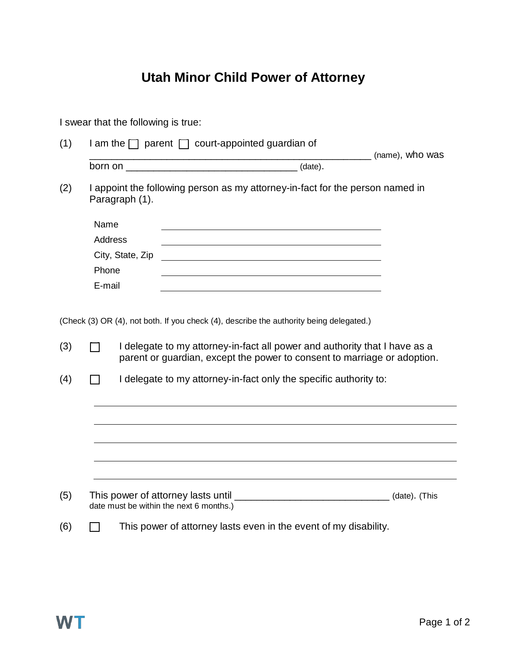## **Utah Minor Child Power of Attorney**

| I swear that the following is true: |                                                                                                                                                                                                                                                                                                                        |                                                                                                                                           |                 |  |  |
|-------------------------------------|------------------------------------------------------------------------------------------------------------------------------------------------------------------------------------------------------------------------------------------------------------------------------------------------------------------------|-------------------------------------------------------------------------------------------------------------------------------------------|-----------------|--|--|
| (1)                                 |                                                                                                                                                                                                                                                                                                                        | $\Box$ am the $\Box$ parent $\Box$ court-appointed guardian of                                                                            | (name), who was |  |  |
|                                     |                                                                                                                                                                                                                                                                                                                        |                                                                                                                                           |                 |  |  |
| (2)                                 |                                                                                                                                                                                                                                                                                                                        | I appoint the following person as my attorney-in-fact for the person named in<br>Paragraph (1).                                           |                 |  |  |
|                                     | Name                                                                                                                                                                                                                                                                                                                   |                                                                                                                                           |                 |  |  |
|                                     | <b>Address</b>                                                                                                                                                                                                                                                                                                         |                                                                                                                                           |                 |  |  |
|                                     |                                                                                                                                                                                                                                                                                                                        | City, State, Zip<br><u> 1989 - Johann Barbara, martin amerikan basal dan berasal dan berasal dalam basal dan berasal dalam berasal da</u> |                 |  |  |
|                                     | Phone                                                                                                                                                                                                                                                                                                                  |                                                                                                                                           |                 |  |  |
|                                     | E-mail                                                                                                                                                                                                                                                                                                                 |                                                                                                                                           |                 |  |  |
| (3)<br>(4)                          | (Check (3) OR (4), not both. If you check (4), describe the authority being delegated.)<br>I delegate to my attorney-in-fact all power and authority that I have as a<br>parent or guardian, except the power to consent to marriage or adoption.<br>I delegate to my attorney-in-fact only the specific authority to: |                                                                                                                                           |                 |  |  |
|                                     |                                                                                                                                                                                                                                                                                                                        |                                                                                                                                           |                 |  |  |
|                                     |                                                                                                                                                                                                                                                                                                                        |                                                                                                                                           |                 |  |  |
|                                     |                                                                                                                                                                                                                                                                                                                        |                                                                                                                                           |                 |  |  |
|                                     |                                                                                                                                                                                                                                                                                                                        |                                                                                                                                           |                 |  |  |
| (5)                                 | This power of attorney lasts until _________________________________(date). (This<br>date must be within the next 6 months.)                                                                                                                                                                                           |                                                                                                                                           |                 |  |  |
| (6)                                 |                                                                                                                                                                                                                                                                                                                        | This power of attorney lasts even in the event of my disability.                                                                          |                 |  |  |